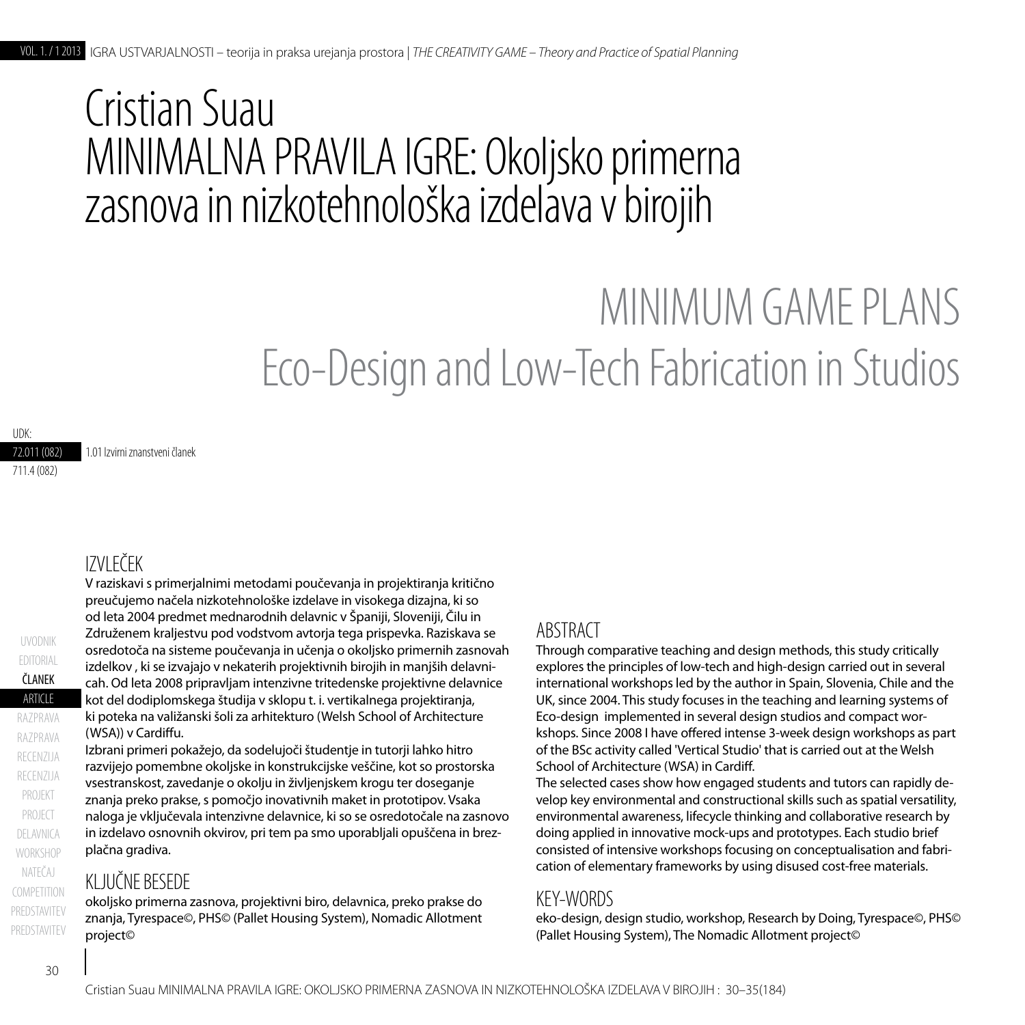## Cristian Suau MINIMALNA PRAVILA IGRE: Okoljsko primerna zasnova in nizkotehnološka izdelava v birojih

# MINIMUM GAMF PLANS Eco-Design and Low-Tech Fabrication in Studios

72.011 (082) 1.01 Izvirni znanstveni članek

711.4 (082)

UDK:

## IZVLEČEK

V raziskavi s primerjalnimi metodami poučevanja in projektiranja kritično preučujemo načela nizkotehnološke izdelave in visokega dizajna, ki so od leta 2004 predmet mednarodnih delavnic v Španiji, Sloveniji, Čilu in Združenem kraljestvu pod vodstvom avtorja tega prispevka. Raziskava se osredotoča na sisteme poučevanja in učenja o okoljsko primernih zasnovah izdelkov , ki se izvajajo v nekaterih projektivnih birojih in manjših delavnicah. Od leta 2008 pripravljam intenzivne tritedenske projektivne delavnice kot del dodiplomskega študija v sklopu t. i. vertikalnega projektiranja, ki poteka na valižanski šoli za arhitekturo (Welsh School of Architecture (WSA)) v Cardiffu.

Izbrani primeri pokažejo, da sodelujoči študentje in tutorji lahko hitro razvijejo pomembne okoljske in konstrukcijske veščine, kot so prostorska vsestranskost, zavedanje o okolju in življenjskem krogu ter doseganje znanja preko prakse, s pomočjo inovativnih maket in prototipov. Vsaka naloga je vključevala intenzivne delavnice, ki so se osredotočale na zasnovo in izdelavo osnovnih okvirov, pri tem pa smo uporabljali opuščena in brezplačna gradiva.

## KLJUČNE BESEDE

okoljsko primerna zasnova, projektivni biro, delavnica, preko prakse do znanja, Tyrespace©, PHS© (Pallet Housing System), Nomadic Allotment project©

## ABSTRACT

Through comparative teaching and design methods, this study critically explores the principles of low-tech and high-design carried out in several international workshops led by the author in Spain, Slovenia, Chile and the UK, since 2004. This study focuses in the teaching and learning systems of Eco-design implemented in several design studios and compact workshops. Since 2008 I have offered intense 3-week design workshops as part of the BSc activity called 'Vertical Studio' that is carried out at the Welsh School of Architecture (WSA) in Cardiff.

The selected cases show how engaged students and tutors can rapidly develop key environmental and constructional skills such as spatial versatility, environmental awareness, lifecycle thinking and collaborative research by doing applied in innovative mock-ups and prototypes. Each studio brief consisted of intensive workshops focusing on conceptualisation and fabrication of elementary frameworks by using disused cost-free materials.

### KEY-WORDS

eko-design, design studio, workshop, Research by Doing, Tyrespace©, PHS© (Pallet Housing System), The Nomadic Allotment project©

**ARTICLE** ČLANEK

razprava

razprava

UVODNIK

EDITORIAL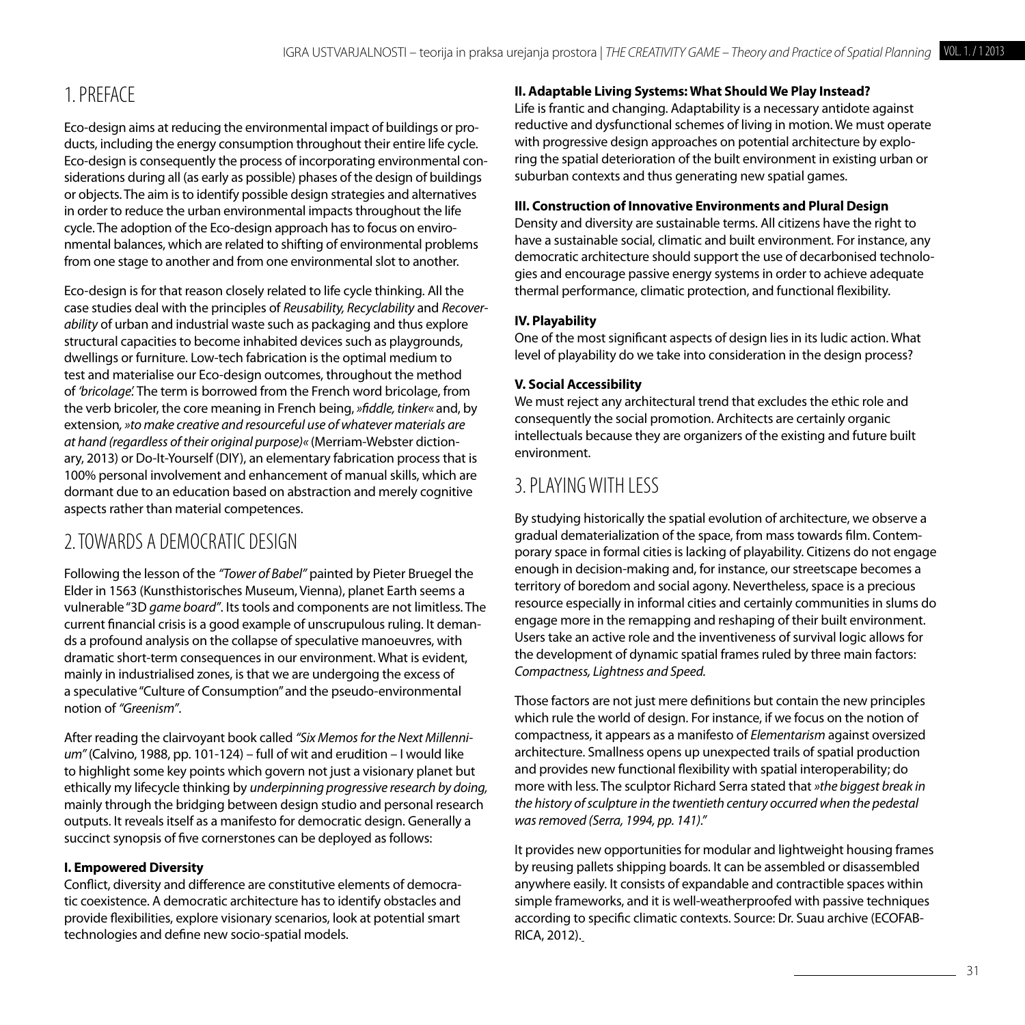## 1. Preface

Eco-design aims at reducing the environmental impact of buildings or products, including the energy consumption throughout their entire life cycle. Eco-design is consequently the process of incorporating environmental considerations during all (as early as possible) phases of the design of buildings or objects. The aim is to identify possible design strategies and alternatives in order to reduce the urban environmental impacts throughout the life cycle. The adoption of the Eco-design approach has to focus on environmental balances, which are related to shifting of environmental problems from one stage to another and from one environmental slot to another.

Eco-design is for that reason closely related to life cycle thinking. All the case studies deal with the principles of *Reusability, Recyclability* and *Recoverability* of urban and industrial waste such as packaging and thus explore structural capacities to become inhabited devices such as playgrounds, dwellings or furniture. Low-tech fabrication is the optimal medium to test and materialise our Eco-design outcomes, throughout the method of *'bricolage'.* The term is borrowed from the French word bricolage, from the verb bricoler, the core meaning in French being, *»fiddle, tinker«* and, by extension*, »to make creative and resourceful use of whatever materials are at hand (regardless of their original purpose)«* (Merriam-Webster dictionary, 2013) or Do-It-Yourself (DIY), an elementary fabrication process that is 100% personal involvement and enhancement of manual skills, which are dormant due to an education based on abstraction and merely cognitive aspects rather than material competences.

## 2. Towards a Democratic Design

Following the lesson of the *"Tower of Babel"* painted by Pieter Bruegel the Elder in 1563 (Kunsthistorisches Museum, Vienna), planet Earth seems a vulnerable "3D *game board"*. Its tools and components are not limitless. The current financial crisis is a good example of unscrupulous ruling. It demands a profound analysis on the collapse of speculative manoeuvres, with dramatic short-term consequences in our environment. What is evident, mainly in industrialised zones, is that we are undergoing the excess of a speculative "Culture of Consumption" and the pseudo-environmental notion of *"Greenism"*.

After reading the clairvoyant book called *"Six Memos for the Next Millennium"* (Calvino, 1988, pp. 101-124) – full of wit and erudition – I would like to highlight some key points which govern not just a visionary planet but ethically my lifecycle thinking by *underpinning progressive research by doing,*  mainly through the bridging between design studio and personal research outputs. It reveals itself as a manifesto for democratic design. Generally a succinct synopsis of five cornerstones can be deployed as follows:

#### **I. Empowered Diversity**

Conflict, diversity and difference are constitutive elements of democratic coexistence. A democratic architecture has to identify obstacles and provide flexibilities, explore visionary scenarios, look at potential smart technologies and define new socio-spatial models.

#### **II. Adaptable Living Systems: What Should We Play Instead?**

Life is frantic and changing. Adaptability is a necessary antidote against reductive and dysfunctional schemes of living in motion. We must operate with progressive design approaches on potential architecture by exploring the spatial deterioration of the built environment in existing urban or suburban contexts and thus generating new spatial games.

#### **III. Construction of Innovative Environments and Plural Design**

Density and diversity are sustainable terms. All citizens have the right to have a sustainable social, climatic and built environment. For instance, any democratic architecture should support the use of decarbonised technologies and encourage passive energy systems in order to achieve adequate thermal performance, climatic protection, and functional flexibility.

#### **IV. Playability**

One of the most significant aspects of design lies in its ludic action. What level of playability do we take into consideration in the design process?

#### **V. Social Accessibility**

We must reject any architectural trend that excludes the ethic role and consequently the social promotion. Architects are certainly organic intellectuals because they are organizers of the existing and future built environment.

## 3. Playingwith Less

By studying historically the spatial evolution of architecture, we observe a gradual dematerialization of the space, from mass towards film. Contemporary space in formal cities is lacking of playability. Citizens do not engage enough in decision-making and, for instance, our streetscape becomes a territory of boredom and social agony. Nevertheless, space is a precious resource especially in informal cities and certainly communities in slums do engage more in the remapping and reshaping of their built environment. Users take an active role and the inventiveness of survival logic allows for the development of dynamic spatial frames ruled by three main factors: *Compactness, Lightness and Speed.*

Those factors are not just mere definitions but contain the new principles which rule the world of design. For instance, if we focus on the notion of compactness, it appears as a manifesto of *Elementarism* against oversized architecture. Smallness opens up unexpected trails of spatial production and provides new functional flexibility with spatial interoperability; do more with less. The sculptor Richard Serra stated that *»the biggest break in the history of sculpture in the twentieth century occurred when the pedestal was removed (Serra, 1994, pp. 141)."*

It provides new opportunities for modular and lightweight housing frames by reusing pallets shipping boards. It can be assembled or disassembled anywhere easily. It consists of expandable and contractible spaces within simple frameworks, and it is well-weatherproofed with passive techniques according to specific climatic contexts. Source: Dr. Suau archive (ECOFAB-RICA, 2012).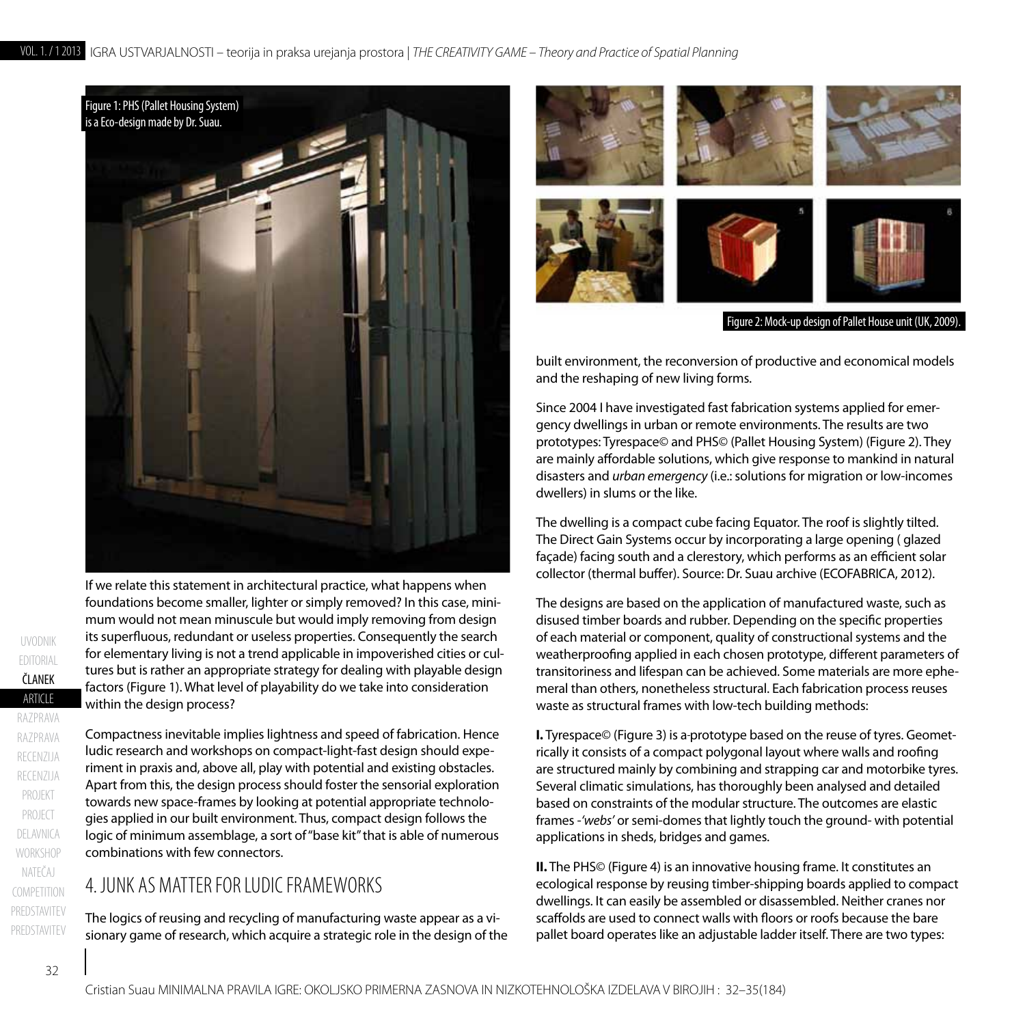

If we relate this statement in architectural practice, what happens when foundations become smaller, lighter or simply removed? In this case, minimum would not mean minuscule but would imply removing from design its superfluous, redundant or useless properties. Consequently the search for elementary living is not a trend applicable in impoverished cities or cultures but is rather an appropriate strategy for dealing with playable design factors (Figure 1). What level of playability do we take into consideration within the design process?

Compactness inevitable implies lightness and speed of fabrication. Hence ludic research and workshops on compact-light-fast design should experiment in praxis and, above all, play with potential and existing obstacles. Apart from this, the design process should foster the sensorial exploration towards new space-frames by looking at potential appropriate technologies applied in our built environment. Thus, compact design follows the logic of minimum assemblage, a sort of "base kit" that is able of numerous combinations with few connectors.

## 4. JUNK AS MATTER FOR LUDIC FRAMEWORKS

The logics of reusing and recycling of manufacturing waste appear as a visionary game of research, which acquire a strategic role in the design of the



built environment, the reconversion of productive and economical models and the reshaping of new living forms.

Since 2004 I have investigated fast fabrication systems applied for emergency dwellings in urban or remote environments. The results are two prototypes: Tyrespace© and PHS© (Pallet Housing System) (Figure 2). They are mainly affordable solutions, which give response to mankind in natural disasters and *urban emergency* (i.e.: solutions for migration or low-incomes dwellers) in slums or the like.

The dwelling is a compact cube facing Equator. The roof is slightly tilted. The Direct Gain Systems occur by incorporating a large opening ( glazed façade) facing south and a clerestory, which performs as an efficient solar collector (thermal buffer). Source: Dr. Suau archive (ECOFABRICA, 2012).

The designs are based on the application of manufactured waste, such as disused timber boards and rubber. Depending on the specific properties of each material or component, quality of constructional systems and the weatherproofing applied in each chosen prototype, different parameters of transitoriness and lifespan can be achieved. Some materials are more ephemeral than others, nonetheless structural. Each fabrication process reuses waste as structural frames with low-tech building methods:

**I.** Tyrespace© (Figure 3) is a-prototype based on the reuse of tyres. Geometrically it consists of a compact polygonal layout where walls and roofing are structured mainly by combining and strapping car and motorbike tyres. Several climatic simulations, has thoroughly been analysed and detailed based on constraints of the modular structure. The outcomes are elastic frames -*'webs'* or semi-domes that lightly touch the ground- with potential applications in sheds, bridges and games.

**II.** The PHS© (Figure 4) is an innovative housing frame. It constitutes an ecological response by reusing timber-shipping boards applied to compact dwellings. It can easily be assembled or disassembled. Neither cranes nor scaffolds are used to connect walls with floors or roofs because the bare pallet board operates like an adjustable ladder itself. There are two types: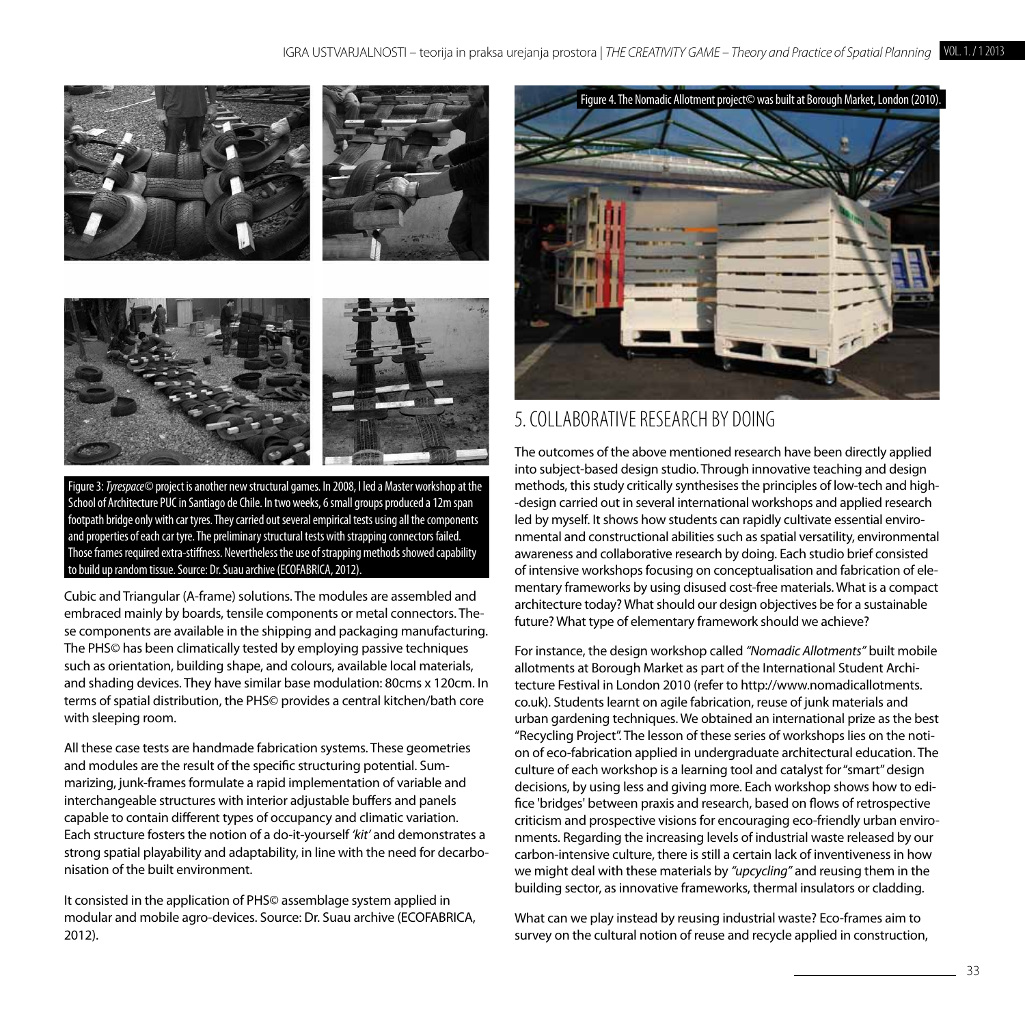

Figure 3: *Tyrespace©* project is another new structural games. In 2008, I led a Master workshop at the School of Architecture PUC in Santiago de Chile. In two weeks, 6 small groups produced a 12m span footpath bridge only with car tyres. They carried out several empirical tests using all the components and properties of each car tyre. The preliminary structural tests with strapping connectors failed. Those frames required extra-stiffness. Nevertheless the use of strapping methods showed capability to build up random tissue. Source: Dr. Suau archive (ECOFABRICA, 2012).

Cubic and Triangular (A-frame) solutions. The modules are assembled and embraced mainly by boards, tensile components or metal connectors. These components are available in the shipping and packaging manufacturing. The PHS© has been climatically tested by employing passive techniques such as orientation, building shape, and colours, available local materials, and shading devices. They have similar base modulation: 80cms x 120cm. In terms of spatial distribution, the PHS© provides a central kitchen/bath core with sleeping room.

All these case tests are handmade fabrication systems. These geometries and modules are the result of the specific structuring potential. Summarizing, junk-frames formulate a rapid implementation of variable and interchangeable structures with interior adjustable buffers and panels capable to contain different types of occupancy and climatic variation. Each structure fosters the notion of a do-it-yourself *'kit'* and demonstrates a strong spatial playability and adaptability, in line with the need for decarbonisation of the built environment.

It consisted in the application of PHS© assemblage system applied in modular and mobile agro-devices. Source: Dr. Suau archive (ECOFABRICA, 2012).



## 5. Collaborative Research by Doing

The outcomes of the above mentioned research have been directly applied into subject-based design studio. Through innovative teaching and design methods, this study critically synthesises the principles of low-tech and high- -design carried out in several international workshops and applied research led by myself. It shows how students can rapidly cultivate essential environmental and constructional abilities such as spatial versatility, environmental awareness and collaborative research by doing. Each studio brief consisted of intensive workshops focusing on conceptualisation and fabrication of elementary frameworks by using disused cost-free materials. What is a compact architecture today? What should our design objectives be for a sustainable future? What type of elementary framework should we achieve?

For instance, the design workshop called *"Nomadic Allotments"* built mobile allotments at Borough Market as part of the International Student Architecture Festival in London 2010 (refer to http://www.nomadicallotments. co.uk). Students learnt on agile fabrication, reuse of junk materials and urban gardening techniques. We obtained an international prize as the best "Recycling Project". The lesson of these series of workshops lies on the notion of eco-fabrication applied in undergraduate architectural education. The culture of each workshop is a learning tool and catalyst for "smart" design decisions, by using less and giving more. Each workshop shows how to edifice 'bridges' between praxis and research, based on flows of retrospective criticism and prospective visions for encouraging eco-friendly urban environments. Regarding the increasing levels of industrial waste released by our carbon-intensive culture, there is still a certain lack of inventiveness in how we might deal with these materials by *"upcycling"* and reusing them in the building sector, as innovative frameworks, thermal insulators or cladding.

What can we play instead by reusing industrial waste? Eco-frames aim to survey on the cultural notion of reuse and recycle applied in construction,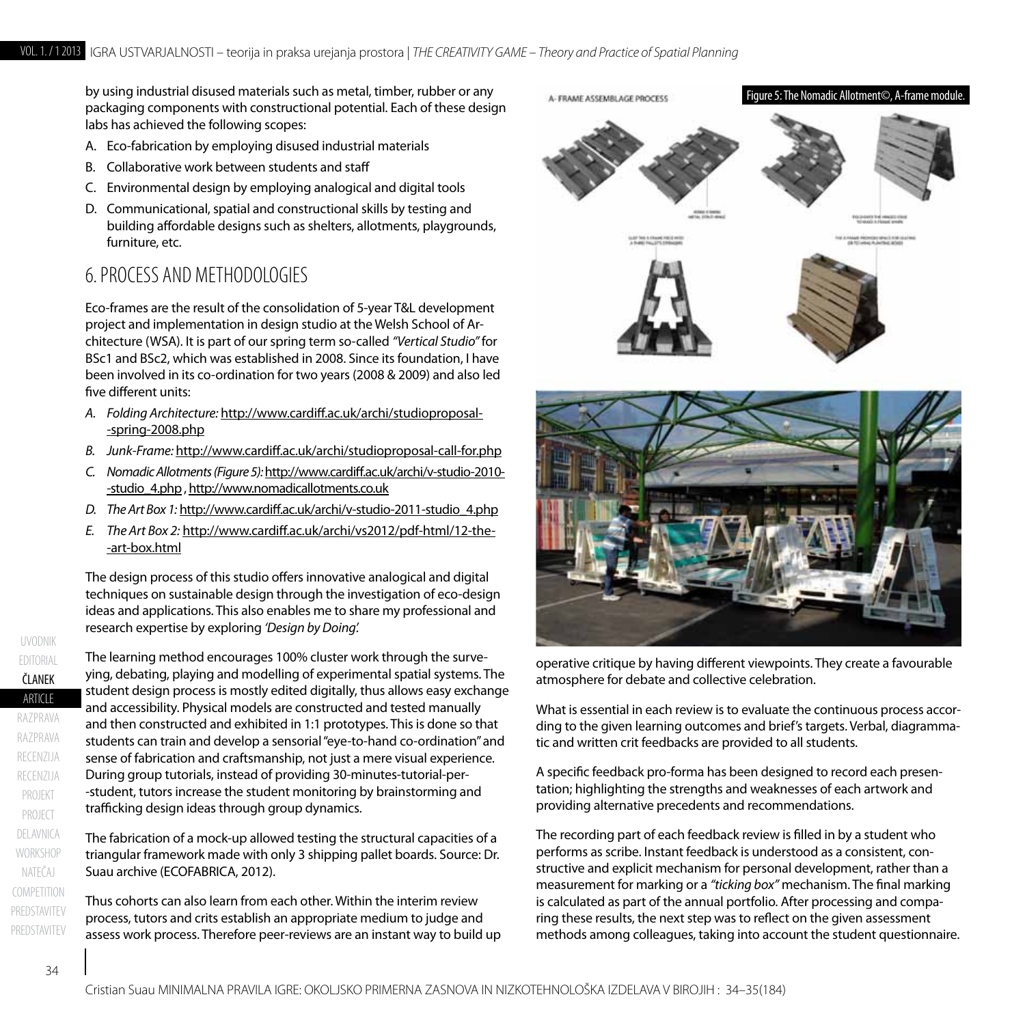by using industrial disused materials such as metal, timber, rubber or any packaging components with constructional potential. Each of these design labs has achieved the following scopes:

- A. Eco-fabrication by employing disused industrial materials
- B. Collaborative work between students and staff
- C. Environmental design by employing analogical and digital tools
- D. Communicational, spatial and constructional skills by testing and building affordable designs such as shelters, allotments, playgrounds, furniture, etc.

## 6. Process and Methodologies

Eco-frames are the result of the consolidation of 5-year T&L development project and implementation in design studio at the Welsh School of Architecture (WSA). It is part of our spring term so-called *"Vertical Studio"* for BSc1 and BSc2, which was established in 2008. Since its foundation, I have been involved in its co-ordination for two years (2008 & 2009) and also led five different units:

- *A. Folding Architecture:* http://www.cardiff.ac.uk/archi/studioproposal- -spring-2008.php
- *B. Junk-Frame:* http://www.cardiff.ac.uk/archi/studioproposal-call-for.php
- *C. Nomadic Allotments (Figure 5):* http://www.cardiff.ac.uk/archi/v-studio-2010- -studio\_4.php , http://www.nomadicallotments.co.uk
- *D. The Art Box 1:* http://www.cardiff.ac.uk/archi/v-studio-2011-studio\_4.php
- *E. The Art Box 2:* http://www.cardiff.ac.uk/archi/vs2012/pdf-html/12-the- -art-box.html

The design process of this studio offers innovative analogical and digital techniques on sustainable design through the investigation of eco-design ideas and applications. This also enables me to share my professional and research expertise by exploring *'Design by Doing'.*

The learning method encourages 100% cluster work through the surveying, debating, playing and modelling of experimental spatial systems. The student design process is mostly edited digitally, thus allows easy exchange and accessibility. Physical models are constructed and tested manually and then constructed and exhibited in 1:1 prototypes. This is done so that students can train and develop a sensorial "eye-to-hand co-ordination" and sense of fabrication and craftsmanship, not just a mere visual experience. During group tutorials, instead of providing 30-minutes-tutorial-per- -student, tutors increase the student monitoring by brainstorming and trafficking design ideas through group dynamics.

The fabrication of a mock-up allowed testing the structural capacities of a triangular framework made with only 3 shipping pallet boards. Source: Dr. Suau archive (ECOFABRICA, 2012).

Thus cohorts can also learn from each other. Within the interim review process, tutors and crits establish an appropriate medium to judge and assess work process. Therefore peer-reviews are an instant way to build up





operative critique by having different viewpoints. They create a favourable atmosphere for debate and collective celebration.

What is essential in each review is to evaluate the continuous process according to the given learning outcomes and brief's targets. Verbal, diagrammatic and written crit feedbacks are provided to all students.

A specific feedback pro-forma has been designed to record each presentation; highlighting the strengths and weaknesses of each artwork and providing alternative precedents and recommendations.

The recording part of each feedback review is filled in by a student who performs as scribe. Instant feedback is understood as a consistent, constructive and explicit mechanism for personal development, rather than a measurement for marking or a *"ticking box"* mechanism. The final marking is calculated as part of the annual portfolio. After processing and comparing these results, the next step was to reflect on the given assessment methods among colleagues, taking into account the student questionnaire.

**ARTICLE** ČLANEK

razprava

recenzija

razprava

UVODNIK

EDITORIAL